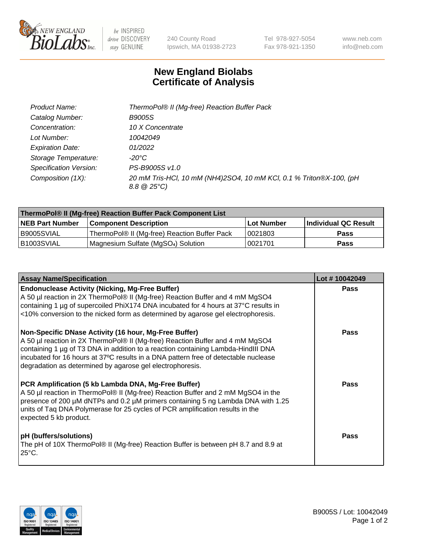

be INSPIRED drive DISCOVERY stay GENUINE

240 County Road Ipswich, MA 01938-2723 Tel 978-927-5054 Fax 978-921-1350 www.neb.com info@neb.com

## **New England Biolabs Certificate of Analysis**

| Product Name:           | ThermoPol® II (Mg-free) Reaction Buffer Pack                                                 |
|-------------------------|----------------------------------------------------------------------------------------------|
| Catalog Number:         | <i>B9005S</i>                                                                                |
| Concentration:          | 10 X Concentrate                                                                             |
| Lot Number:             | 10042049                                                                                     |
| <b>Expiration Date:</b> | 01/2022                                                                                      |
| Storage Temperature:    | -20°C                                                                                        |
| Specification Version:  | PS-B9005S v1.0                                                                               |
| Composition (1X):       | 20 mM Tris-HCl, 10 mM (NH4)2SO4, 10 mM KCl, 0.1 % Triton®X-100, (pH<br>$8.8 \ @ 25^{\circ}C$ |

| ThermoPol® II (Mg-free) Reaction Buffer Pack Component List |                                              |            |                      |  |
|-------------------------------------------------------------|----------------------------------------------|------------|----------------------|--|
| <b>NEB Part Number</b>                                      | <b>Component Description</b>                 | Lot Number | Individual QC Result |  |
| I B9005SVIAL                                                | ThermoPol® II (Mg-free) Reaction Buffer Pack | 10021803   | Pass                 |  |
| IB1003SVIAL                                                 | Magnesium Sulfate (MgSO4) Solution           | 10021701   | Pass                 |  |

| <b>Assay Name/Specification</b>                                                                                                                                                                                                                                                                                                                                                 | Lot #10042049 |
|---------------------------------------------------------------------------------------------------------------------------------------------------------------------------------------------------------------------------------------------------------------------------------------------------------------------------------------------------------------------------------|---------------|
| <b>Endonuclease Activity (Nicking, Mg-Free Buffer)</b><br>A 50 µl reaction in 2X ThermoPol® II (Mg-free) Reaction Buffer and 4 mM MgSO4<br>containing 1 µg of supercoiled PhiX174 DNA incubated for 4 hours at 37°C results in<br><10% conversion to the nicked form as determined by agarose gel electrophoresis.                                                              | <b>Pass</b>   |
| Non-Specific DNase Activity (16 hour, Mg-Free Buffer)<br>A 50 µl reaction in 2X ThermoPol® II (Mg-free) Reaction Buffer and 4 mM MgSO4<br>containing 1 µg of T3 DNA in addition to a reaction containing Lambda-HindIII DNA<br>incubated for 16 hours at 37°C results in a DNA pattern free of detectable nuclease<br>degradation as determined by agarose gel electrophoresis. | <b>Pass</b>   |
| PCR Amplification (5 kb Lambda DNA, Mg-Free Buffer)<br>A 50 µl reaction in ThermoPol® II (Mg-free) Reaction Buffer and 2 mM MgSO4 in the<br>presence of 200 µM dNTPs and 0.2 µM primers containing 5 ng Lambda DNA with 1.25<br>units of Taq DNA Polymerase for 25 cycles of PCR amplification results in the<br>expected 5 kb product.                                         | <b>Pass</b>   |
| pH (buffers/solutions)<br>The pH of 10X ThermoPol® II (Mg-free) Reaction Buffer is between pH 8.7 and 8.9 at<br>$25^{\circ}$ C.                                                                                                                                                                                                                                                 | <b>Pass</b>   |